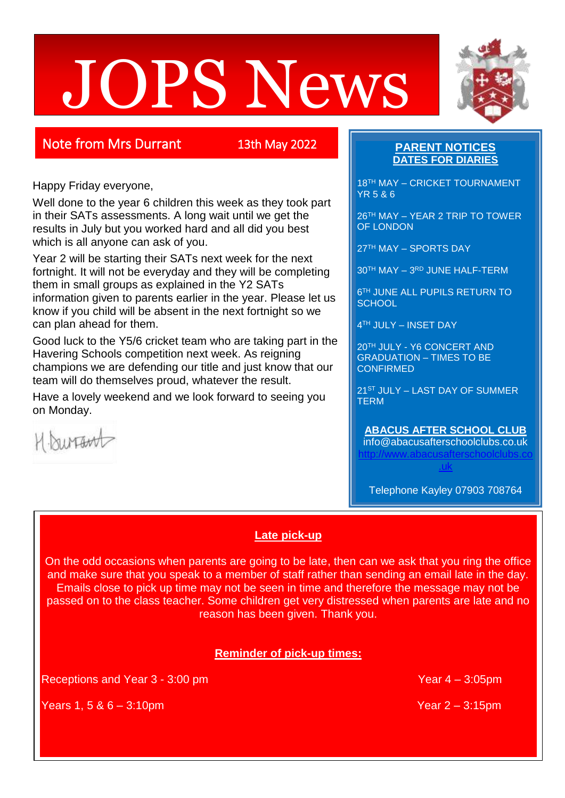# JOPS News



Happy Friday everyone,

Well done to the year 6 children this week as they took part in their SATs assessments. A long wait until we get the results in July but you worked hard and all did you best which is all anyone can ask of you.

Year 2 will be starting their SATs next week for the next fortnight. It will not be everyday and they will be completing them in small groups as explained in the Y2 SATs information given to parents earlier in the year. Please let us know if you child will be absent in the next fortnight so we can plan ahead for them.

Good luck to the Y5/6 cricket team who are taking part in the Havering Schools competition next week. As reigning champions we are defending our title and just know that our team will do themselves proud, whatever the result.

Have a lovely weekend and we look forward to seeing you on Monday.



### **PARENT NOTICES DATES FOR DIARIES**

18TH MAY – CRICKET TOURNAMENT YR 5 & 6

26TH MAY – YEAR 2 TRIP TO TOWER OF LONDON

27TH MAY – SPORTS DAY

30TH MAY – 3 RD JUNE HALF-TERM

6 TH JUNE ALL PUPILS RETURN TO **SCHOOL** 

4 TH JULY – INSET DAY

20TH JULY - Y6 CONCERT AND GRADUATION – TIMES TO BE **CONFIRMED** 

21ST JULY – LAST DAY OF SUMMER **TERM** 

### **ABACUS AFTER SCHOOL CLUB** info@abacusafterschoolclubs.co.uk

[http://www.abacusafterschoolclubs.co](http://www.abacusafterschoolclubs.co.uk/) [.uk](http://www.abacusafterschoolclubs.co.uk/)

Telephone Kayley 07903 708764

### **Late pick-up**

On the odd occasions when parents are going to be late, then can we ask that you ring the office and make sure that you speak to a member of staff rather than sending an email late in the day. Emails close to pick up time may not be seen in time and therefore the message may not be passed on to the class teacher. Some children get very distressed when parents are late and no reason has been given. Thank you.

## **Reminder of pick-up times:**

Receptions and Year 3 - 3:00 pm

Years 1, 5 & 6 – 3:10pm Year 2 – 3:15pm